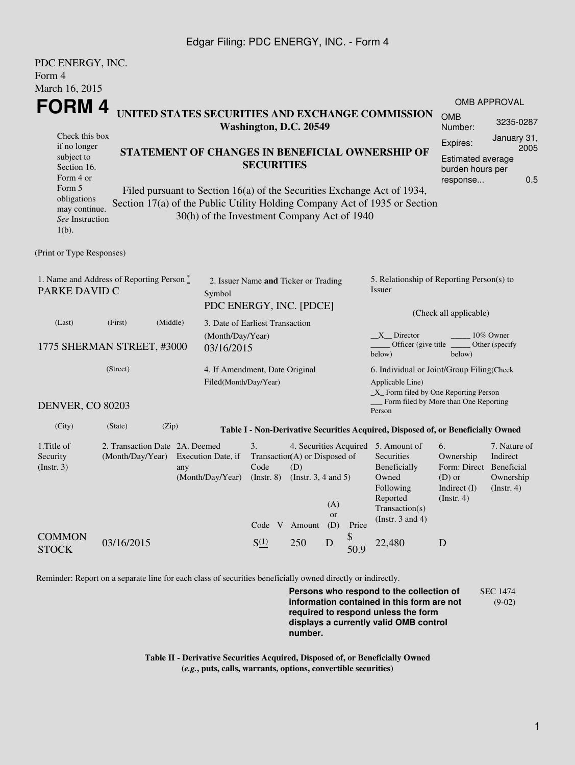## Edgar Filing: PDC ENERGY, INC. - Form 4

| <b>OMB APPROVAL</b><br>3235-0287<br>January 31,<br>2005<br>Estimated average<br>burden hours per<br>0.5 |  |  |  |  |
|---------------------------------------------------------------------------------------------------------|--|--|--|--|
|                                                                                                         |  |  |  |  |
|                                                                                                         |  |  |  |  |
|                                                                                                         |  |  |  |  |
|                                                                                                         |  |  |  |  |
|                                                                                                         |  |  |  |  |
|                                                                                                         |  |  |  |  |
|                                                                                                         |  |  |  |  |
|                                                                                                         |  |  |  |  |
|                                                                                                         |  |  |  |  |
|                                                                                                         |  |  |  |  |
| 5. Relationship of Reporting Person(s) to<br>Issuer                                                     |  |  |  |  |
| (Check all applicable)                                                                                  |  |  |  |  |
|                                                                                                         |  |  |  |  |
| 10% Owner<br>Other (specify                                                                             |  |  |  |  |
| 6. Individual or Joint/Group Filing(Check                                                               |  |  |  |  |
| Applicable Line)<br>_X_ Form filed by One Reporting Person                                              |  |  |  |  |
| Form filed by More than One Reporting                                                                   |  |  |  |  |
| Table I - Non-Derivative Securities Acquired, Disposed of, or Beneficially Owned                        |  |  |  |  |
| 7. Nature of<br>Indirect<br>Form: Direct<br>Beneficial<br>Ownership<br>$($ Instr. 4 $)$                 |  |  |  |  |
|                                                                                                         |  |  |  |  |
|                                                                                                         |  |  |  |  |
|                                                                                                         |  |  |  |  |
|                                                                                                         |  |  |  |  |

Reminder: Report on a separate line for each class of securities beneficially owned directly or indirectly.

**Persons who respond to the collection of information contained in this form are not required to respond unless the form displays a currently valid OMB control number.** SEC 1474 (9-02)

**Table II - Derivative Securities Acquired, Disposed of, or Beneficially Owned (***e.g.***, puts, calls, warrants, options, convertible securities)**